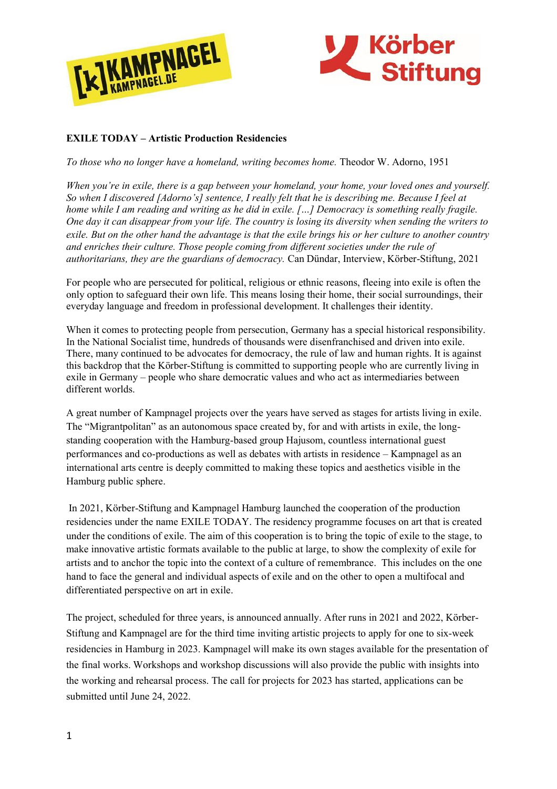



## **EXILE TODAY – Artistic Production Residencies**

*To those who no longer have a homeland, writing becomes home.* Theodor W. Adorno, 1951

*When you're in exile, there is a gap between your homeland, your home, your loved ones and yourself. So when I discovered [Adorno's] sentence, I really felt that he is describing me. Because I feel at home while I am reading and writing as he did in exile. […] Democracy is something really fragile. One day it can disappear from your life. The country is losing its diversity when sending the writers to exile. But on the other hand the advantage is that the exile brings his or her culture to another country and enriches their culture. Those people coming from different societies under the rule of authoritarians, they are the guardians of democracy.* Can Dündar, Interview, Körber-Stiftung, 2021

For people who are persecuted for political, religious or ethnic reasons, fleeing into exile is often the only option to safeguard their own life. This means losing their home, their social surroundings, their everyday language and freedom in professional development. It challenges their identity.

When it comes to protecting people from persecution, Germany has a special historical responsibility. In the National Socialist time, hundreds of thousands were disenfranchised and driven into exile. There, many continued to be advocates for democracy, the rule of law and human rights. It is against this backdrop that the Körber-Stiftung is committed to supporting people who are currently living in exile in Germany – people who share democratic values and who act as intermediaries between different worlds.

A great number of Kampnagel projects over the years have served as stages for artists living in exile. The "Migrantpolitan" as an autonomous space created by, for and with artists in exile, the longstanding cooperation with the Hamburg-based group Hajusom, countless international guest performances and co-productions as well as debates with artists in residence – Kampnagel as an international arts centre is deeply committed to making these topics and aesthetics visible in the Hamburg public sphere.

In 2021, Körber-Stiftung and Kampnagel Hamburg launched the cooperation of the production residencies under the name EXILE TODAY. The residency programme focuses on art that is created under the conditions of exile. The aim of this cooperation is to bring the topic of exile to the stage, to make innovative artistic formats available to the public at large, to show the complexity of exile for artists and to anchor the topic into the context of a culture of remembrance. This includes on the one hand to face the general and individual aspects of exile and on the other to open a multifocal and differentiated perspective on art in exile.

The project, scheduled for three years, is announced annually. After runs in 2021 and 2022, Körber-Stiftung and Kampnagel are for the third time inviting artistic projects to apply for one to six-week residencies in Hamburg in 2023. Kampnagel will make its own stages available for the presentation of the final works. Workshops and workshop discussions will also provide the public with insights into the working and rehearsal process. The call for projects for 2023 has started, applications can be submitted until June 24, 2022.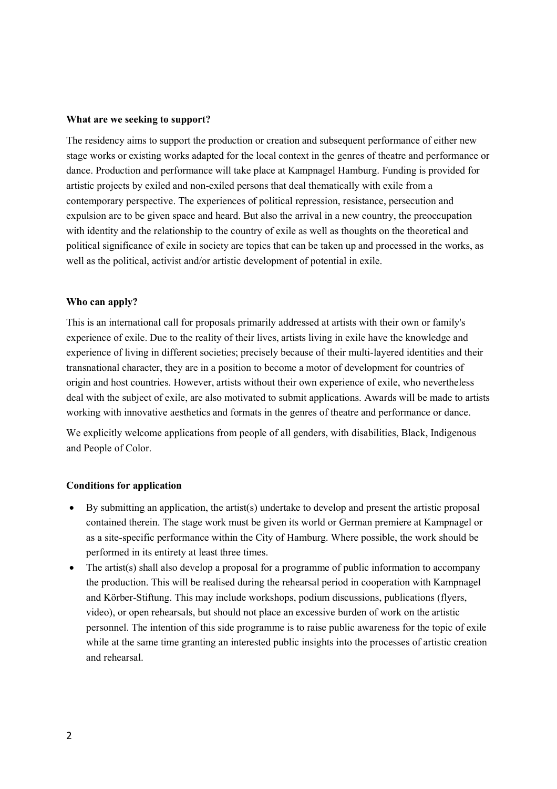#### **What are we seeking to support?**

The residency aims to support the production or creation and subsequent performance of either new stage works or existing works adapted for the local context in the genres of theatre and performance or dance. Production and performance will take place at Kampnagel Hamburg. Funding is provided for artistic projects by exiled and non-exiled persons that deal thematically with exile from a contemporary perspective. The experiences of political repression, resistance, persecution and expulsion are to be given space and heard. But also the arrival in a new country, the preoccupation with identity and the relationship to the country of exile as well as thoughts on the theoretical and political significance of exile in society are topics that can be taken up and processed in the works, as well as the political, activist and/or artistic development of potential in exile.

#### **Who can apply?**

This is an international call for proposals primarily addressed at artists with their own or family's experience of exile. Due to the reality of their lives, artists living in exile have the knowledge and experience of living in different societies; precisely because of their multi-layered identities and their transnational character, they are in a position to become a motor of development for countries of origin and host countries. However, artists without their own experience of exile, who nevertheless deal with the subject of exile, are also motivated to submit applications. Awards will be made to artists working with innovative aesthetics and formats in the genres of theatre and performance or dance.

We explicitly welcome applications from people of all genders, with disabilities, Black, Indigenous and People of Color.

#### **Conditions for application**

- By submitting an application, the artist(s) undertake to develop and present the artistic proposal contained therein. The stage work must be given its world or German premiere at Kampnagel or as a site-specific performance within the City of Hamburg. Where possible, the work should be performed in its entirety at least three times.
- The artist(s) shall also develop a proposal for a programme of public information to accompany the production. This will be realised during the rehearsal period in cooperation with Kampnagel and Körber-Stiftung. This may include workshops, podium discussions, publications (flyers, video), or open rehearsals, but should not place an excessive burden of work on the artistic personnel. The intention of this side programme is to raise public awareness for the topic of exile while at the same time granting an interested public insights into the processes of artistic creation and rehearsal.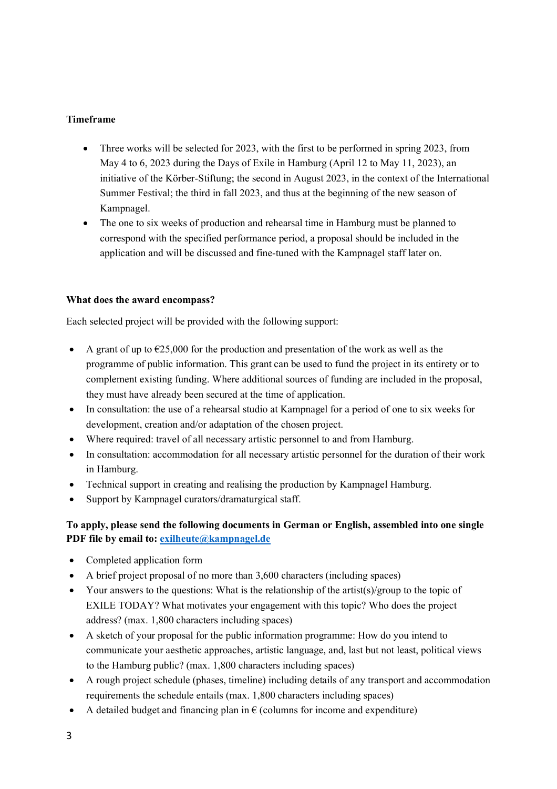## **Timeframe**

- Three works will be selected for 2023, with the first to be performed in spring 2023, from May 4 to 6, 2023 during the Days of Exile in Hamburg (April 12 to May 11, 2023), an initiative of the Körber-Stiftung; the second in August 2023, in the context of the International Summer Festival; the third in fall 2023, and thus at the beginning of the new season of Kampnagel.
- The one to six weeks of production and rehearsal time in Hamburg must be planned to correspond with the specified performance period, a proposal should be included in the application and will be discussed and fine-tuned with the Kampnagel staff later on.

#### **What does the award encompass?**

Each selected project will be provided with the following support:

- A grant of up to  $\epsilon$ 25,000 for the production and presentation of the work as well as the programme of public information. This grant can be used to fund the project in its entirety or to complement existing funding. Where additional sources of funding are included in the proposal, they must have already been secured at the time of application.
- In consultation: the use of a rehearsal studio at Kampnagel for a period of one to six weeks for development, creation and/or adaptation of the chosen project.
- Where required: travel of all necessary artistic personnel to and from Hamburg.
- In consultation: accommodation for all necessary artistic personnel for the duration of their work in Hamburg.
- Technical support in creating and realising the production by Kampnagel Hamburg.
- Support by Kampnagel curators/dramaturgical staff.

# **To apply, please send the following documents in German or English, assembled into one single PDF file by email to: [exilheute@kampnagel.de](mailto:exilheute@kampnagel.de)**

- Completed application form
- A brief project proposal of no more than 3,600 characters (including spaces)
- Your answers to the questions: What is the relationship of the artist(s)/group to the topic of EXILE TODAY? What motivates your engagement with this topic? Who does the project address? (max. 1,800 characters including spaces)
- A sketch of your proposal for the public information programme: How do you intend to communicate your aesthetic approaches, artistic language, and, last but not least, political views to the Hamburg public? (max. 1,800 characters including spaces)
- A rough project schedule (phases, timeline) including details of any transport and accommodation requirements the schedule entails (max. 1,800 characters including spaces)
- A detailed budget and financing plan in  $\epsilon$  (columns for income and expenditure)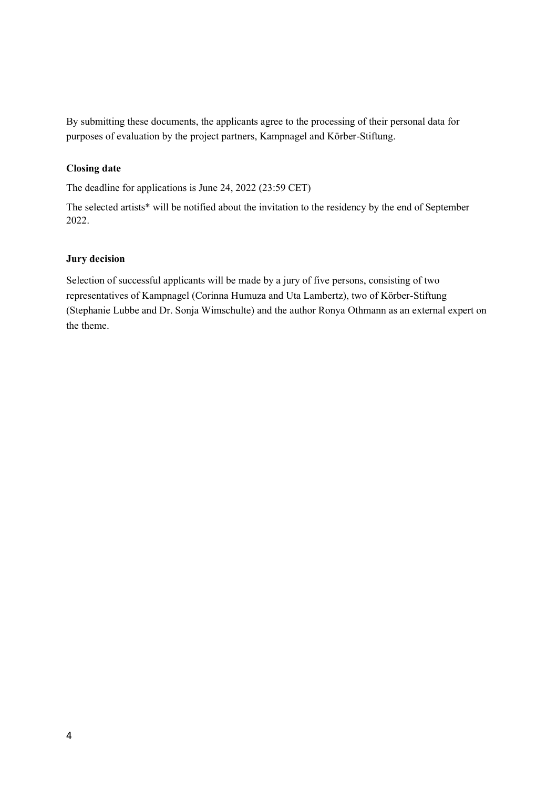By submitting these documents, the applicants agree to the processing of their personal data for purposes of evaluation by the project partners, Kampnagel and Körber-Stiftung.

### **Closing date**

The deadline for applications is June 24, 2022 (23:59 CET)

The selected artists\* will be notified about the invitation to the residency by the end of September 2022.

#### **Jury decision**

Selection of successful applicants will be made by a jury of five persons, consisting of two representatives of Kampnagel (Corinna Humuza and Uta Lambertz), two of Körber-Stiftung (Stephanie Lubbe and Dr. Sonja Wimschulte) and the author Ronya Othmann as an external expert on the theme.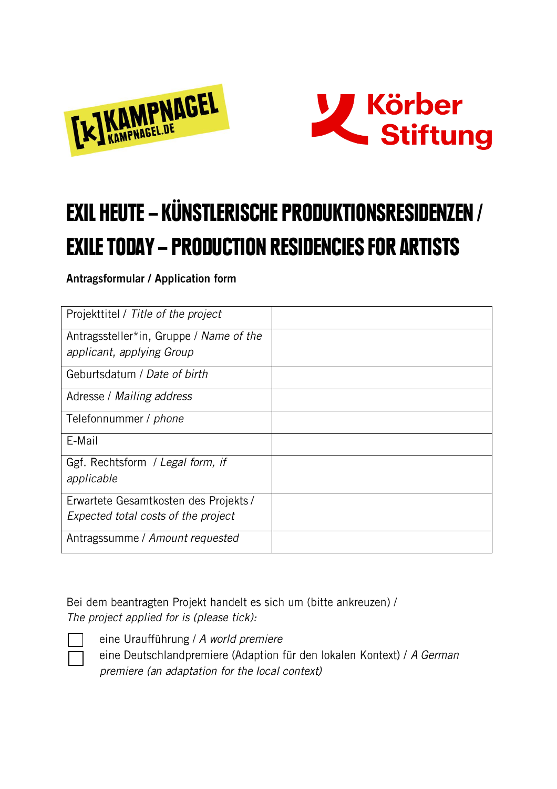



# EXIL HEUTE – KÜNSTLERISCHE PRODUKTIONSRESIDENZEN / EXILE TODAY – PRODUCTION RESIDENCIES FOR ARTISTS

Antragsformular / Application form

| Projekttitel / Title of the project     |  |
|-----------------------------------------|--|
| Antragssteller*in, Gruppe / Name of the |  |
| applicant, applying Group               |  |
| Geburtsdatum / Date of birth            |  |
| Adresse / Mailing address               |  |
| Telefonnummer / <i>phone</i>            |  |
| E-Mail                                  |  |
| Ggf. Rechtsform / Legal form, if        |  |
| applicable                              |  |
| Erwartete Gesamtkosten des Projekts /   |  |
| Expected total costs of the project     |  |
| Antragssumme / Amount requested         |  |

Bei dem beantragten Projekt handelt es sich um (bitte ankreuzen) / The project applied for is (please tick):



eine Uraufführung / A world premiere eine Deutschlandpremiere (Adaption für den lokalen Kontext) / A German premiere (an adaptation for the local context)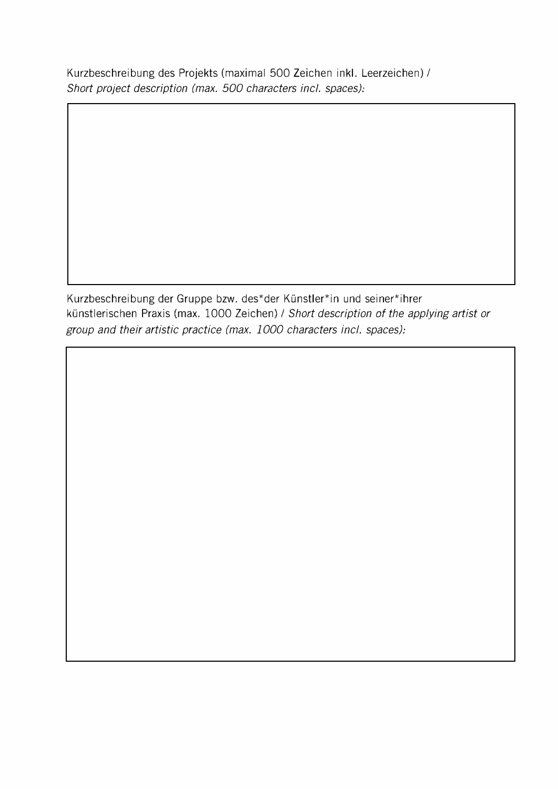Kurzbeschreibung des Projekts (maximal 500 Zeichen inkl. Leerzeichen)/ *Short project description (max.* 500 *characters incl. spaces):* 

Kurzbeschreibung der Gruppe bzw. des\*der Künstler\*in und seiner\*ihrer künstlerischen Praxis (max. 1000 Zeichen)/ *Short description of the applying artist or group and their artistic practice (max. 1000 characters incl. spaces):*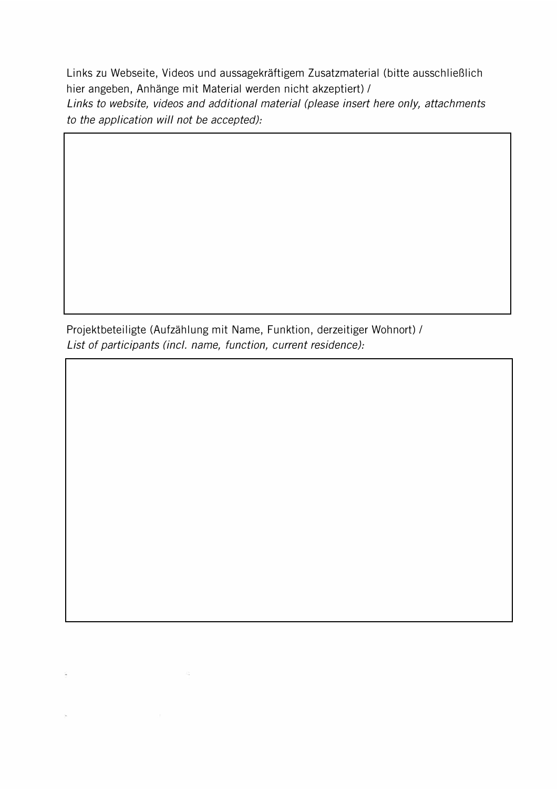Links zu Webseite, Videos und aussagekräftigem Zusatzmaterial (bitte ausschließlich hier angeben, Anhänge mit Material werden nicht akzeptiert)/ *Links to website, videos and additional material (please insert here only, attachments to the application will not be accepted):* 

Projektbeteiligte (Aufzählung mit Name, Funktion, derzeitiger Wohnort)/ *List of participants (incl. name, function, current residence):*